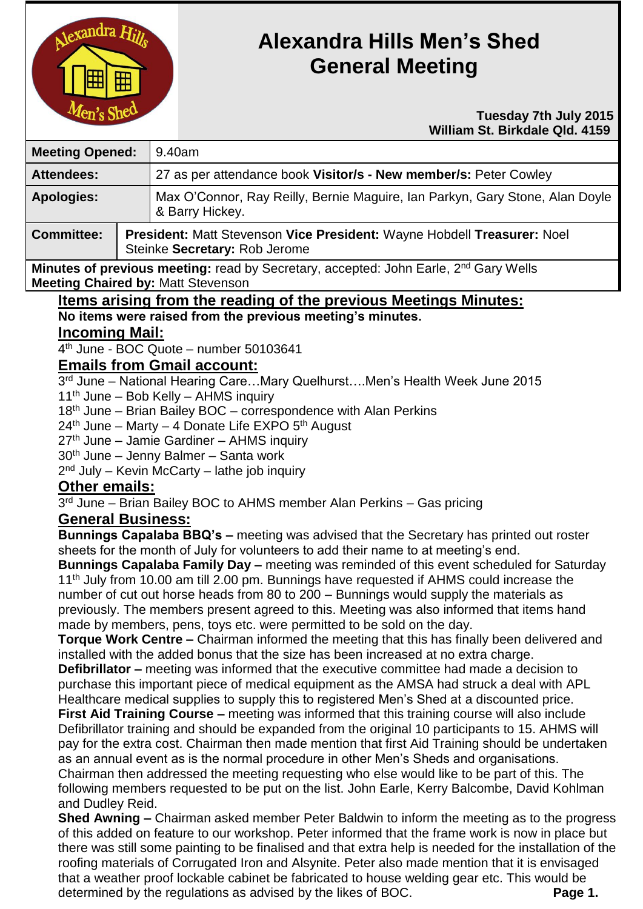

# **Alexandra Hills Men's Shed General Meeting**

#### **Tuesday 7th July 2015 William St. Birkdale Qld. 4159**

| <b>Meeting Opened:</b> |  | 9.40am                                                                                                   |  |
|------------------------|--|----------------------------------------------------------------------------------------------------------|--|
| <b>Attendees:</b>      |  | 27 as per attendance book Visitor/s - New member/s: Peter Cowley                                         |  |
| <b>Apologies:</b>      |  | Max O'Connor, Ray Reilly, Bernie Maguire, Ian Parkyn, Gary Stone, Alan Doyle<br>& Barry Hickey.          |  |
| <b>Committee:</b>      |  | President: Matt Stevenson Vice President: Wayne Hobdell Treasurer: Noel<br>Steinke Secretary: Rob Jerome |  |
|                        |  |                                                                                                          |  |

**Minutes of previous meeting:** read by Secretary, accepted: John Earle, 2<sup>nd</sup> Gary Wells **Meeting Chaired by:** Matt Stevenson

**Items arising from the reading of the previous Meetings Minutes: No items were raised from the previous meeting's minutes.**

## **Incoming Mail:**

4 th June - BOC Quote – number 50103641

### **Emails from Gmail account:**

3 rd June – National Hearing Care…Mary Quelhurst….Men's Health Week June 2015 11<sup>th</sup> June – Bob Kelly – AHMS inquiry

18<sup>th</sup> June – Brian Bailey BOC – correspondence with Alan Perkins

 $24<sup>th</sup>$  June – Marty – 4 Donate Life EXPO  $5<sup>th</sup>$  August

27th June – Jamie Gardiner – AHMS inquiry

 $30<sup>th</sup>$  June – Jenny Balmer – Santa work

2<sup>nd</sup> July – Kevin McCarty – lathe job inquiry

# **Other emails:**

3<sup>rd</sup> June – Brian Bailey BOC to AHMS member Alan Perkins – Gas pricing

# **General Business:**

**Bunnings Capalaba BBQ's –** meeting was advised that the Secretary has printed out roster sheets for the month of July for volunteers to add their name to at meeting's end.

**Bunnings Capalaba Family Day –** meeting was reminded of this event scheduled for Saturday 11<sup>th</sup> July from 10.00 am till 2.00 pm. Bunnings have requested if AHMS could increase the number of cut out horse heads from 80 to 200 – Bunnings would supply the materials as previously. The members present agreed to this. Meeting was also informed that items hand made by members, pens, toys etc. were permitted to be sold on the day.

**Torque Work Centre –** Chairman informed the meeting that this has finally been delivered and installed with the added bonus that the size has been increased at no extra charge.

**Defibrillator –** meeting was informed that the executive committee had made a decision to purchase this important piece of medical equipment as the AMSA had struck a deal with APL Healthcare medical supplies to supply this to registered Men's Shed at a discounted price.

**First Aid Training Course –** meeting was informed that this training course will also include Defibrillator training and should be expanded from the original 10 participants to 15. AHMS will pay for the extra cost. Chairman then made mention that first Aid Training should be undertaken as an annual event as is the normal procedure in other Men's Sheds and organisations. Chairman then addressed the meeting requesting who else would like to be part of this. The following members requested to be put on the list. John Earle, Kerry Balcombe, David Kohlman and Dudley Reid.

**Shed Awning –** Chairman asked member Peter Baldwin to inform the meeting as to the progress of this added on feature to our workshop. Peter informed that the frame work is now in place but there was still some painting to be finalised and that extra help is needed for the installation of the roofing materials of Corrugated Iron and Alsynite. Peter also made mention that it is envisaged that a weather proof lockable cabinet be fabricated to house welding gear etc. This would be determined by the regulations as advised by the likes of BOC. **Page 1.**